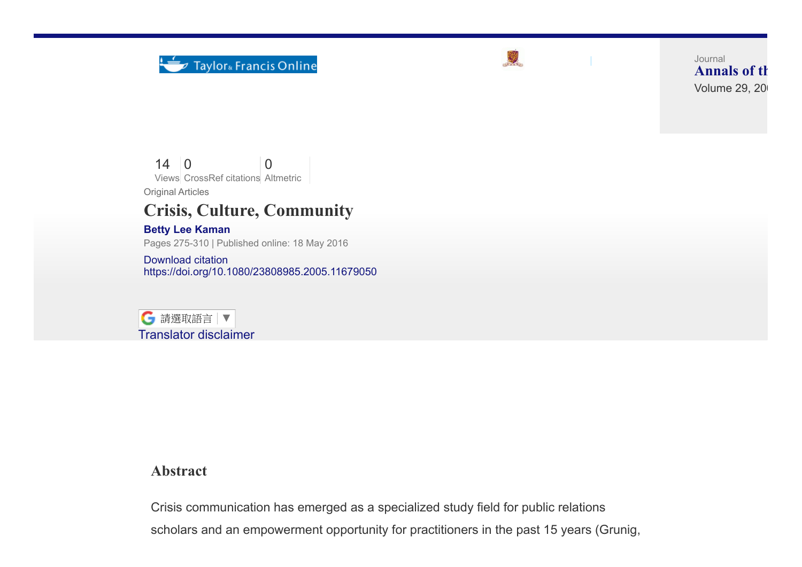



[Log in](https://www.tandfonline.com/action/showLogin?uri=%2Fdoi%2Fabs%2F10.1080%2F23808985.2005.11679050%3FjournalCode%3Drica20) | [Register](https://www.tandfonline.com/action/registration?redirectUri=%2F)

Volume 29, 20 Journal [Annals](http://www.tandfonline.com/toc/rica20/current) of th

14 0 Views CrossRef citations Altmetric  $\Omega$ 

Original Articles

## Crisis, Culture, Community

## Betty Lee [Kaman](http://www.tandfonline.com/author/Kaman%2C+Betty+Lee)

Pages 275-310 | Published online: 18 May 2016

[Download](http://www.tandfonline.com/action/showCitFormats?doi=10.1080%2F23808985.2005.11679050) citation <https://doi.org/10.1080/23808985.2005.11679050>



## Abstract

Crisis communication has emerged as a specialized study field for public relations scholars and an empowerment opportunity for practitioners in the past 15 years (Grunig,